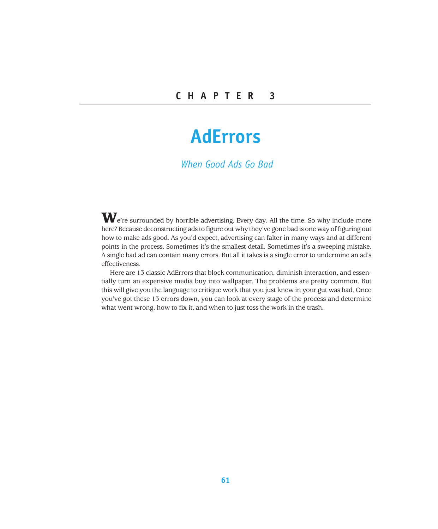# **AdErrors**

### *When Good Ads Go Bad*

We're surrounded by horrible advertising. Every day. All the time. So why include more here? Because deconstructing ads to figure out why they've gone bad is one way of figuring out how to make ads good. As you'd expect, advertising can falter in many ways and at different points in the process. Sometimes it's the smallest detail. Sometimes it's a sweeping mistake. A single bad ad can contain many errors. But all it takes is a single error to undermine an ad's effectiveness.

Here are 13 classic AdErrors that block communication, diminish interaction, and essentially turn an expensive media buy into wallpaper. The problems are pretty common. But this will give you the language to critique work that you just knew in your gut was bad. Once you've got these 13 errors down, you can look at every stage of the process and determine what went wrong, how to fix it, and when to just toss the work in the trash.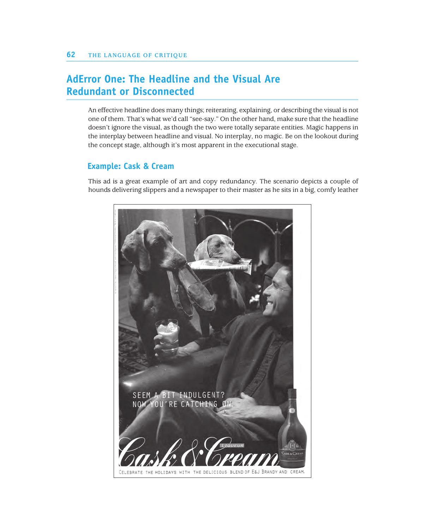# **AdError One: The Headline and the Visual Are Redundant or Disconnected**

An effective headline does many things; reiterating, explaining, or describing the visual is not one of them. That's what we'd call "see-say." On the other hand, make sure that the headline doesn't ignore the visual, as though the two were totally separate entities. Magic happens in the interplay between headline and visual. No interplay, no magic. Be on the lookout during the concept stage, although it's most apparent in the executional stage.

#### **Example: Cask & Cream**

This ad is a great example of art and copy redundancy. The scenario depicts a couple of hounds delivering slippers and a newspaper to their master as he sits in a big, comfy leather

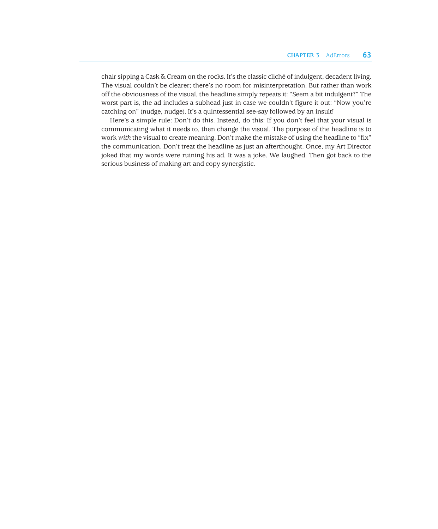chair sipping a Cask & Cream on the rocks. It's the classic cliché of indulgent, decadent living. The visual couldn't be clearer; there's no room for misinterpretation. But rather than work off the obviousness of the visual, the headline simply repeats it: "Seem a bit indulgent?" The worst part is, the ad includes a subhead just in case we couldn't figure it out: "Now you're catching on" (nudge, nudge). It's a quintessential see-say followed by an insult!

Here's a simple rule: Don't do this. Instead, do this: If you don't feel that your visual is communicating what it needs to, then change the visual. The purpose of the headline is to work *with* the visual to create meaning. Don't make the mistake of using the headline to "fix" the communication. Don't treat the headline as just an afterthought. Once, my Art Director joked that my words were ruining his ad. It was a joke. We laughed. Then got back to the serious business of making art and copy synergistic.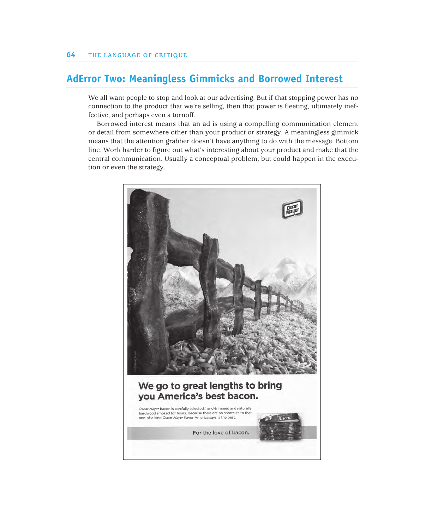### **AdError Two: Meaningless Gimmicks and Borrowed Interest**

We all want people to stop and look at our advertising. But if that stopping power has no connection to the product that we're selling, then that power is fleeting, ultimately ineffective, and perhaps even a turnoff.

Borrowed interest means that an ad is using a compelling communication element or detail from somewhere other than your product or strategy. A meaningless gimmick means that the attention grabber doesn't have anything to do with the message. Bottom line: Work harder to figure out what's interesting about your product and make that the central communication. Usually a conceptual problem, but could happen in the execution or even the strategy.

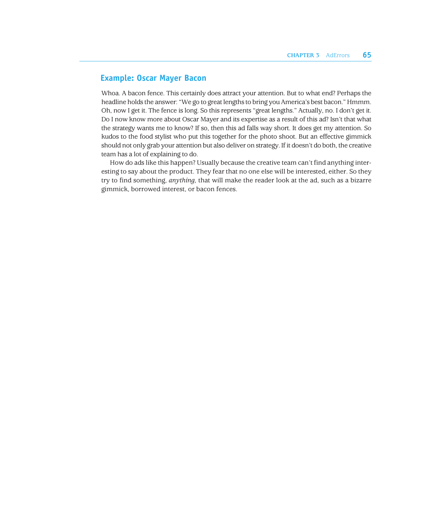#### **Example: Oscar Mayer Bacon**

Whoa. A bacon fence. This certainly does attract your attention. But to what end? Perhaps the headline holds the answer: "We go to great lengths to bring you America's best bacon." Hmmm. Oh, now I get it. The fence is long. So this represents "great lengths." Actually, no. I don't get it. Do I now know more about Oscar Mayer and its expertise as a result of this ad? Isn't that what the strategy wants me to know? If so, then this ad falls way short. It does get my attention. So kudos to the food stylist who put this together for the photo shoot. But an effective gimmick should not only grab your attention but also deliver on strategy. If it doesn't do both, the creative team has a lot of explaining to do.

How do ads like this happen? Usually because the creative team can't find anything interesting to say about the product. They fear that no one else will be interested, either. So they try to find something, *anything,* that will make the reader look at the ad, such as a bizarre gimmick, borrowed interest, or bacon fences.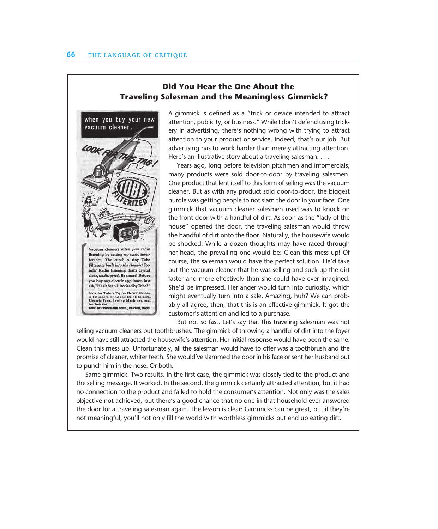



A gimmick is defined as a "trick or device intended to attract attention, publicity, or business." While I don't defend using trickery in advertising, there's nothing wrong with trying to attract attention to your product or service. Indeed, that's our job. But advertising has to work harder than merely attracting attention. Here's an illustrative story about a traveling salesman. . . .

Years ago, long before television pitchmen and infomercials, many products were sold door-to-door by traveling salesmen. One product that lent itself to this form of selling was the vacuum cleaner. But as with any product sold door-to-door, the biggest hurdle was getting people to not slam the door in your face. One gimmick that vacuum cleaner salesmen used was to knock on the front door with a handful of dirt. As soon as the "lady of the house" opened the door, the traveling salesman would throw the handful of dirt onto the floor. Naturally, the housewife would be shocked. While a dozen thoughts may have raced through her head, the prevailing one would be: Clean this mess up! Of course, the salesman would have the perfect solution. He'd take out the vacuum cleaner that he was selling and suck up the dirt faster and more effectively than she could have ever imagined. She'd be impressed. Her anger would turn into curiosity, which might eventually turn into a sale. Amazing, huh? We can probably all agree, then, that this is an effective gimmick. It got the customer's attention and led to a purchase.

But not so fast. Let's say that this traveling salesman was not

selling vacuum cleaners but toothbrushes. The gimmick of throwing a handful of dirt into the foyer would have still attracted the housewife's attention. Her initial response would have been the same: Clean this mess up! Unfortunately, all the salesman would have to offer was a toothbrush and the promise of cleaner, whiter teeth. She would've slammed the door in his face or sent her husband out to punch him in the nose. Or both.

Same gimmick. Two results. In the first case, the gimmick was closely tied to the product and the selling message. It worked. In the second, the gimmick certainly attracted attention, but it had no connection to the product and failed to hold the consumer's attention. Not only was the sales objective not achieved, but there's a good chance that no one in that household ever answered the door for a traveling salesman again. The lesson is clear: Gimmicks can be great, but if they're not meaningful, you'll not only fill the world with worthless gimmicks but end up eating dirt.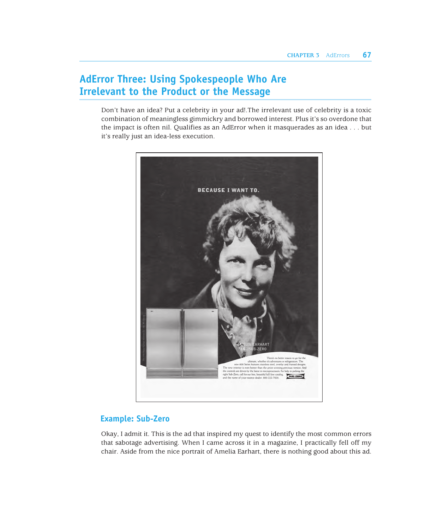### **AdError Three: Using Spokespeople Who Are Irrelevant to the Product or the Message**

Don't have an idea? Put a celebrity in your ad!.The irrelevant use of celebrity is a toxic combination of meaningless gimmickry and borrowed interest. Plus it's so overdone that the impact is often nil. Qualifies as an AdError when it masquerades as an idea . . . but it's really just an idea-less execution.



### **Example: Sub-Zero**

Okay, I admit it. This is the ad that inspired my quest to identify the most common errors that sabotage advertising. When I came across it in a magazine, I practically fell off my chair. Aside from the nice portrait of Amelia Earhart, there is nothing good about this ad.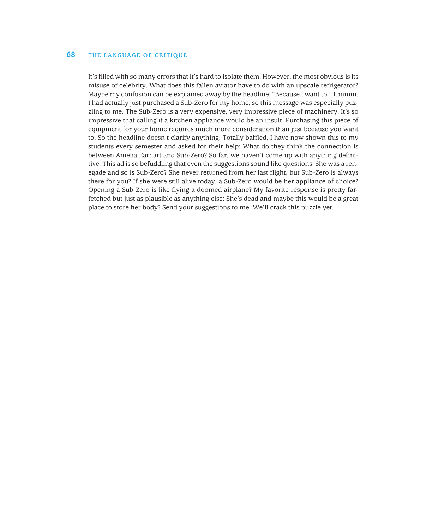#### **68 THE LANGUAGE OF CRITIQUE**

It's filled with so many errors that it's hard to isolate them. However, the most obvious is its misuse of celebrity. What does this fallen aviator have to do with an upscale refrigerator? Maybe my confusion can be explained away by the headline: "Because I want to." Hmmm. I had actually just purchased a Sub-Zero for my home, so this message was especially puzzling to me. The Sub-Zero is a very expensive, very impressive piece of machinery. It's so impressive that calling it a kitchen appliance would be an insult. Purchasing this piece of equipment for your home requires much more consideration than just because you want to. So the headline doesn't clarify anything. Totally baffled, I have now shown this to my students every semester and asked for their help: What do they think the connection is between Amelia Earhart and Sub-Zero? So far, we haven't come up with anything definitive. This ad is so befuddling that even the suggestions sound like questions: She was a renegade and so is Sub-Zero? She never returned from her last flight, but Sub-Zero is always there for you? If she were still alive today, a Sub-Zero would be her appliance of choice? Opening a Sub-Zero is like flying a doomed airplane? My favorite response is pretty farfetched but just as plausible as anything else: She's dead and maybe this would be a great place to store her body? Send your suggestions to me. We'll crack this puzzle yet.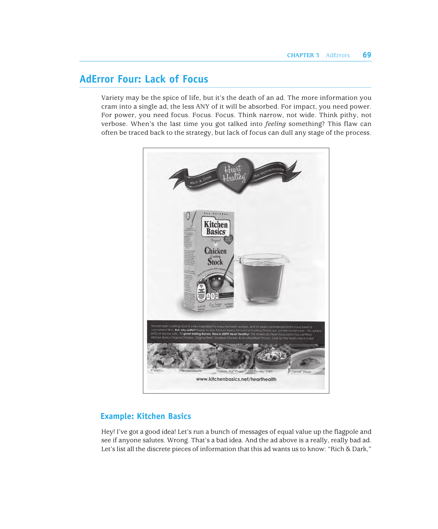### **AdError Four: Lack of Focus**

Variety may be the spice of life, but it's the death of an ad. The more information you cram into a single ad, the less ANY of it will be absorbed. For impact, you need power. For power, you need focus. Focus. Focus. Think narrow, not wide. Think pithy, not verbose. When's the last time you got talked into *feeling* something? This flaw can often be traced back to the strategy, but lack of focus can dull any stage of the process.



### **Example: Kitchen Basics**

Hey! I've got a good idea! Let's run a bunch of messages of equal value up the flagpole and see if anyone salutes. Wrong. That's a bad idea. And the ad above is a really, really bad ad. Let's list all the discrete pieces of information that this ad wants us to know: "Rich & Dark,"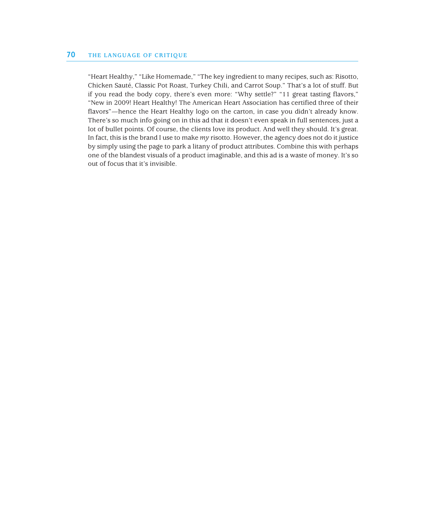#### **70 THE LANGUAGE OF CRITIQUE**

"Heart Healthy," "Like Homemade," "The key ingredient to many recipes, such as: Risotto, Chicken Sauté, Classic Pot Roast, Turkey Chili, and Carrot Soup." That's a lot of stuff. But if you read the body copy, there's even more: "Why settle?" "11 great tasting flavors," "New in 2009! Heart Healthy! The American Heart Association has certified three of their flavors"—hence the Heart Healthy logo on the carton, in case you didn't already know. There's so much info going on in this ad that it doesn't even speak in full sentences, just a lot of bullet points. Of course, the clients love its product. And well they should. It's great. In fact, this is the brand I use to make *my* risotto. However, the agency does not do it justice by simply using the page to park a litany of product attributes. Combine this with perhaps one of the blandest visuals of a product imaginable, and this ad is a waste of money. It's so out of focus that it's invisible.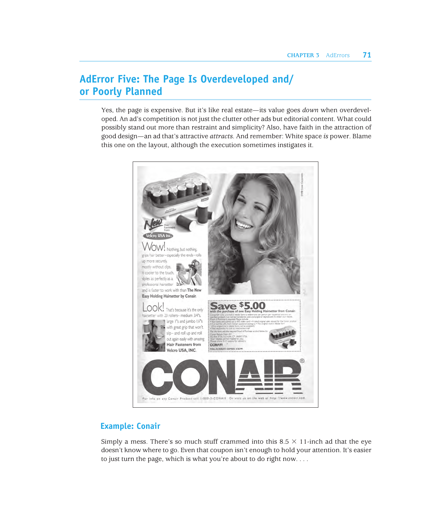## **AdError Five: The Page Is Overdeveloped and/ or Poorly Planned**

Yes, the page is expensive. But it's like real estate—its value goes *down* when overdeveloped. An ad's competition is not just the clutter other ads but editorial content. What could possibly stand out more than restraint and simplicity? Also, have faith in the attraction of good design—an ad that's attractive *attracts.* And remember: White space *is* power. Blame this one on the layout, although the execution sometimes instigates it.



### **Example: Conair**

Simply a mess. There's so much stuff crammed into this  $8.5 \times 11$ -inch ad that the eye doesn't know where to go. Even that coupon isn't enough to hold your attention. It's easier to just turn the page, which is what you're about to do right now. . . .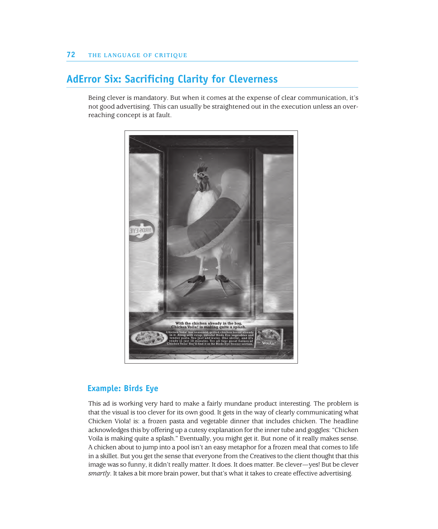# **AdError Six: Sacrificing Clarity for Cleverness**

Being clever is mandatory. But when it comes at the expense of clear communication, it's not good advertising. This can usually be straightened out in the execution unless an overreaching concept is at fault.



#### **Example: Birds Eye**

This ad is working very hard to make a fairly mundane product interesting. The problem is that the visual is too clever for its own good. It gets in the way of clearly communicating what Chicken Viola! is: a frozen pasta and vegetable dinner that includes chicken. The headline acknowledges this by offering up a cutesy explanation for the inner tube and goggles: "Chicken Voila is making quite a splash." Eventually, you might get it. But none of it really makes sense. A chicken about to jump into a pool isn't an easy metaphor for a frozen meal that comes to life in a skillet. But you get the sense that everyone from the Creatives to the client thought that this image was so funny, it didn't really matter. It does. It does matter. Be clever—yes! But be clever *smartly.* It takes a bit more brain power, but that's what it takes to create effective advertising.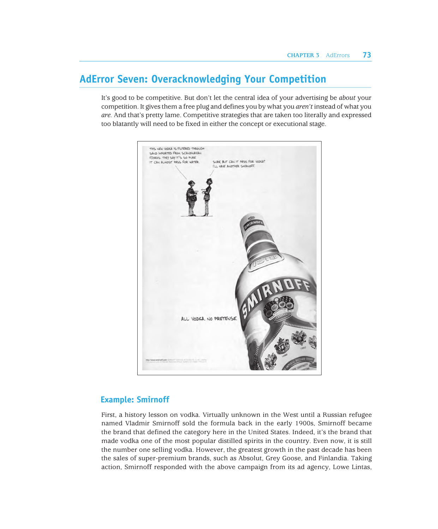### **AdError Seven: Overacknowledging Your Competition**

It's good to be competitive. But don't let the central idea of your advertising be *about* your competition. It gives them a free plug and defines you by what you *aren't* instead of what you *are.* And that's pretty lame. Competitive strategies that are taken too literally and expressed too blatantly will need to be fixed in either the concept or executional stage.



#### **Example: Smirnoff**

First, a history lesson on vodka. Virtually unknown in the West until a Russian refugee named Vladmir Smirnoff sold the formula back in the early 1900s, Smirnoff became the brand that defined the category here in the United States. Indeed, it's the brand that made vodka one of the most popular distilled spirits in the country. Even now, it is still the number one selling vodka. However, the greatest growth in the past decade has been the sales of super-premium brands, such as Absolut, Grey Goose, and Finlandia. Taking action, Smirnoff responded with the above campaign from its ad agency, Lowe Lintas,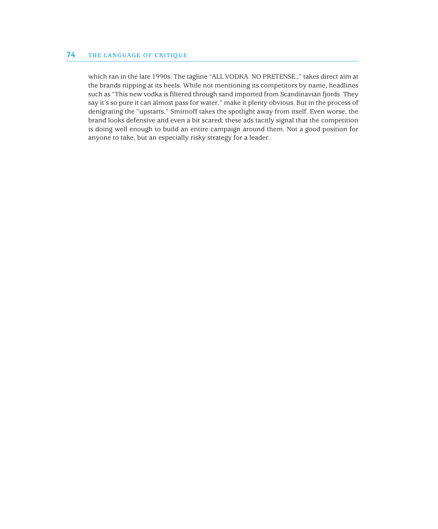#### **74 THE LANGUAGE OF CRITIQUE**

which ran in the late 1990s. The tagline "ALL VODKA. NO PRETENSE.," takes direct aim at the brands nipping at its heels. While not mentioning its competitors by name, headlines such as "This new vodka is filtered through sand imported from Scandinavian fjords. They say it's so pure it can almost pass for water," make it plenty obvious. But in the process of denigrating the "upstarts," Smirnoff takes the spotlight away from itself. Even worse, the brand looks defensive and even a bit scared; these ads tacitly signal that the competition is doing well enough to build an entire campaign around them. Not a good position for anyone to take, but an especially risky strategy for a leader.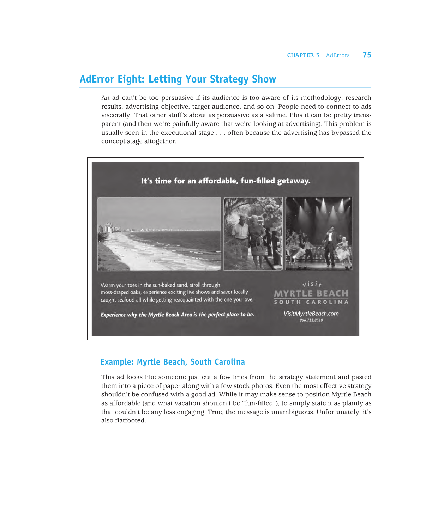# **AdError Eight: Letting Your Strategy Show**

An ad can't be too persuasive if its audience is too aware of its methodology, research results, advertising objective, target audience, and so on. People need to connect to ads viscerally. That other stuff's about as persuasive as a saltine. Plus it can be pretty transparent (and then we're painfully aware that we're looking at advertising). This problem is usually seen in the executional stage . . . often because the advertising has bypassed the concept stage altogether.



#### **Example: Myrtle Beach, South Carolina**

This ad looks like someone just cut a few lines from the strategy statement and pasted them into a piece of paper along with a few stock photos. Even the most effective strategy shouldn't be confused with a good ad. While it may make sense to position Myrtle Beach as affordable (and what vacation shouldn't be "fun-filled"), to simply state it as plainly as that couldn't be any less engaging. True, the message is unambiguous. Unfortunately, it's also flatfooted.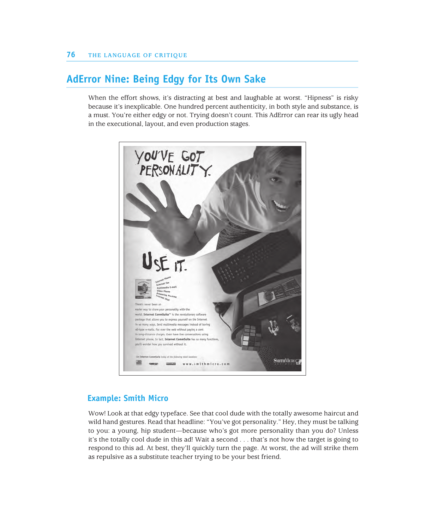### **AdError Nine: Being Edgy for Its Own Sake**

When the effort shows, it's distracting at best and laughable at worst. "Hipness" is risky because it's inexplicable. One hundred percent authenticity, in both style and substance, is a must. You're either edgy or not. Trying doesn't count. This AdError can rear its ugly head in the executional, layout, and even production stages.



#### **Example: Smith Micro**

Wow! Look at that edgy typeface. See that cool dude with the totally awesome haircut and wild hand gestures. Read that headline: "You've got personality." Hey, they must be talking to you: a young, hip student—because who's got more personality than you do? Unless it's the totally cool dude in this ad! Wait a second . . . that's not how the target is going to respond to this ad. At best, they'll quickly turn the page. At worst, the ad will strike them as repulsive as a substitute teacher trying to be your best friend.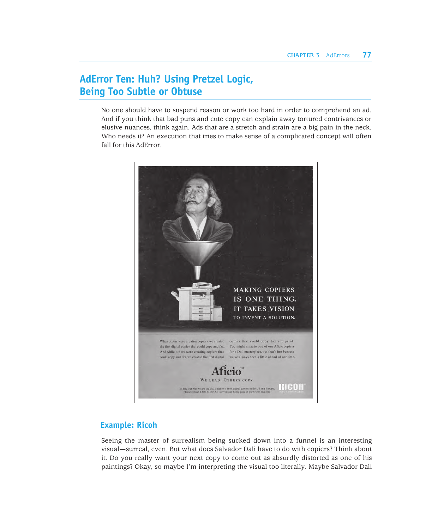### **AdError Ten: Huh? Using Pretzel Logic, Being Too Subtle or Obtuse**

No one should have to suspend reason or work too hard in order to comprehend an ad. And if you think that bad puns and cute copy can explain away tortured contrivances or elusive nuances, think again. Ads that are a stretch and strain are a big pain in the neck. Who needs it? An execution that tries to make sense of a complicated concept will often fall for this AdError.



#### **Example: Ricoh**

Seeing the master of surrealism being sucked down into a funnel is an interesting visual—surreal, even. But what does Salvador Dali have to do with copiers? Think about it. Do you really want your next copy to come out as absurdly distorted as one of his paintings? Okay, so maybe I'm interpreting the visual too literally. Maybe Salvador Dali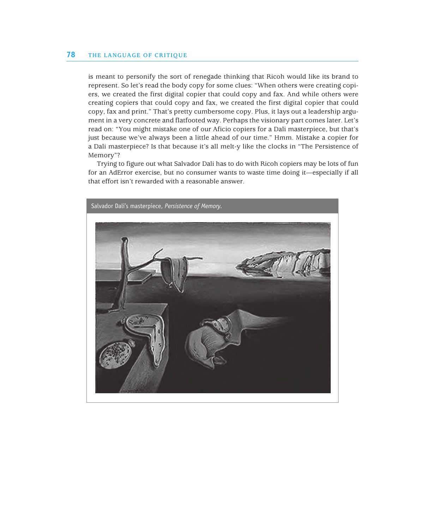#### **78 THE LANGUAGE OF CRITIQUE**

is meant to personify the sort of renegade thinking that Ricoh would like its brand to represent. So let's read the body copy for some clues: "When others were creating copiers, we created the first digital copier that could copy and fax. And while others were creating copiers that could copy and fax, we created the first digital copier that could copy, fax and print." That's pretty cumbersome copy. Plus, it lays out a leadership argument in a very concrete and flatfooted way. Perhaps the visionary part comes later. Let's read on: "You might mistake one of our Aficio copiers for a Dali masterpiece, but that's just because we've always been a little ahead of our time." Hmm. Mistake a copier for a Dali masterpiece? Is that because it's all melt-y like the clocks in "The Persistence of Memory"?

Trying to figure out what Salvador Dali has to do with Ricoh copiers may be lots of fun for an AdError exercise, but no consumer wants to waste time doing it—especially if all that effort isn't rewarded with a reasonable answer.

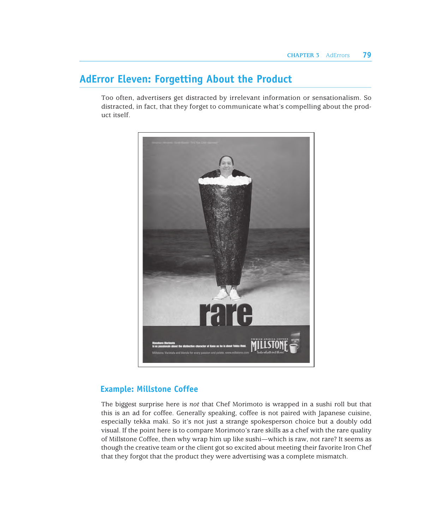### **AdError Eleven: Forgetting About the Product**

Too often, advertisers get distracted by irrelevant information or sensationalism. So distracted, in fact, that they forget to communicate what's compelling about the product itself.



#### **Example: Millstone Coffee**

The biggest surprise here is *not* that Chef Morimoto is wrapped in a sushi roll but that this is an ad for coffee. Generally speaking, coffee is not paired with Japanese cuisine, especially tekka maki. So it's not just a strange spokesperson choice but a doubly odd visual. If the point here is to compare Morimoto's rare skills as a chef with the rare quality of Millstone Coffee, then why wrap him up like sushi—which is raw, not rare? It seems as though the creative team or the client got so excited about meeting their favorite Iron Chef that they forgot that the product they were advertising was a complete mismatch.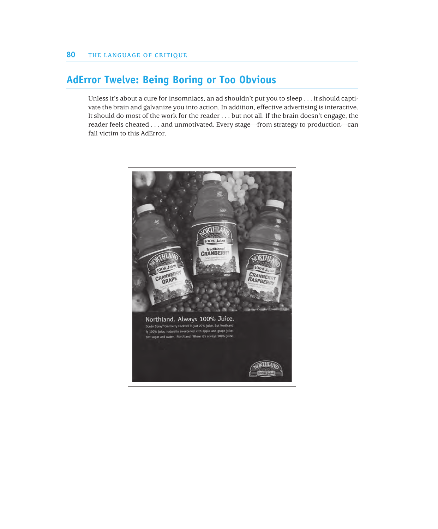# **AdError Twelve: Being Boring or Too Obvious**

Unless it's about a cure for insomniacs, an ad shouldn't put you to sleep . . . it should captivate the brain and galvanize you into action. In addition, effective advertising is interactive. It should do most of the work for the reader . . . but not all. If the brain doesn't engage, the reader feels cheated . . . and unmotivated. Every stage—from strategy to production—can fall victim to this AdError.

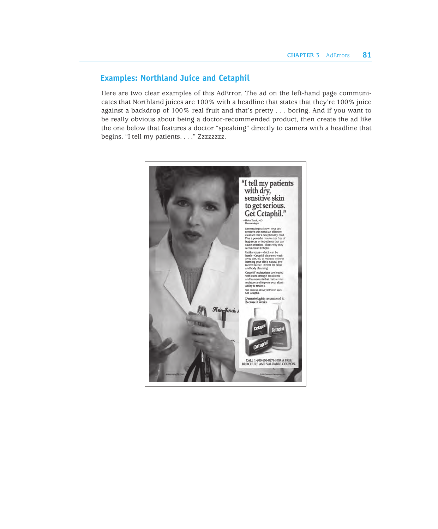#### **Examples: Northland Juice and Cetaphil**

Here are two clear examples of this AdError. The ad on the left-hand page communicates that Northland juices are 100% with a headline that states that they're 100% juice against a backdrop of 100% real fruit and that's pretty . . . boring. And if you want to be really obvious about being a doctor-recommended product, then create the ad like the one below that features a doctor "speaking" directly to camera with a headline that begins, "I tell my patients. . . ." Zzzzzzzz.

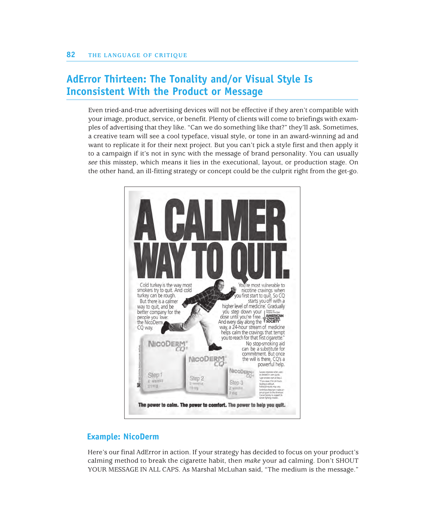# **AdError Thirteen: The Tonality and/or Visual Style Is Inconsistent With the Product or Message**

Even tried-and-true advertising devices will not be effective if they aren't compatible with your image, product, service, or benefit. Plenty of clients will come to briefings with examples of advertising that they like. "Can we do something like that?" they'll ask. Sometimes, a creative team will see a cool typeface, visual style, or tone in an award-winning ad and want to replicate it for their next project. But you can't pick a style first and then apply it to a campaign if it's not in sync with the message of brand personality. You can usually *see* this misstep, which means it lies in the executional, layout, or production stage. On the other hand, an ill-fitting strategy or concept could be the culprit right from the get-go.



#### **Example: NicoDerm**

Here's our final AdError in action. If your strategy has decided to focus on your product's calming method to break the cigarette habit, then *make* your ad calming. Don't SHOUT YOUR MESSAGE IN ALL CAPS. As Marshal McLuhan said, "The medium is the message."